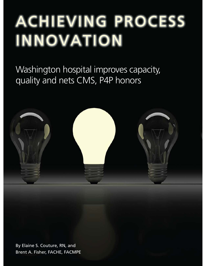# ACHIEVING PROCESS INNOVATION

Washington hospital improves capacity, quality and nets CMS, P4P honors



Brent A. Fisher, FACHE, FACMPE By Elaine S. Couture, RN, and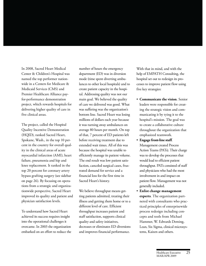In 2008, Sacred Heart Medical Center & Children's Hospital was named the top performer nationwide in a Centers for Medicare & Medicaid Services (CMS) and Premier Healthcare Alliance payfor-performance demonstration project, which rewards hospitals for delivering higher quality of care in five clinical areas.

The project, called the Hospital Quality Incentive Demonstration (HQID), ranked Sacred Heart, Spokane, Wash., in the top 10 percent in the country for overall quality in the clinical areas of acute myocardial infarction (AMI), heart failure, pneumonia and hip and knee replacement. It ranked in the top 20 percent for coronary artery bypass grafting surgery (see sidebar on page 26). By focusing on operations from a strategic and organizationwide perspective, Sacred Heart improved its quality and patient and physician satisfaction levels.

To understand how Sacred Heart achieved its success requires insight into the operational challenges it overcame. In 2003 the organization embarked on an effort to reduce the number of hours the emergency department (ED) was in diversion mode (time spent diverting ambulances to other local hospitals) and to create patient capacity in the hospital. Addressing quality was not our main goal. We believed the quality of care we delivered was good. What was suffering was the organization's bottom line. Sacred Heart was losing millions of dollars each year because it was turning away ambulances on average 80 hours per month. On top of that, 7 percent of ED patients left before receiving treatment due to extended wait times. All of this was because the hospital was unable to efficiently manage its patient volume. The end result was low patient satisfaction, canceled surgical cases, frustrated demand for service and a financial loss for the first time in Sacred Heart's history.

We believe throughput means getting patients admitted, treating their illness and getting them home or to a different level of care. Efficient throughput increases patient and staff satisfaction, supports clinical quality and safety initiatives, decreases or eliminates ED diversions and improves financial performance.

With that in mind, and with the help of EMPATH Consulting, the hospital set out to redesign its processes to improve patient flow using five key strategies:

- **Communicate the vision.** Senior leaders were responsible for creating the strategic vision and communicating it by tying it to the hospital's mission. The goal was to create a collaborative culture throughout the organization that emphasized teamwork.
- **Engage front-line staff.** Management created Process Action Teams (PATs). Their charge was to develop the processes that would lead to efficient patient throughput. PATs consisted of staff and physicians who had the most involvement in and impact on patient flow. Management was not generally included.
- **Enlist change management experts**. The organization partnered with consultants who practiced principles of enterprisewide process redesign including concepts and tools from Michael Hammer, W. Edwards Deming, Lean, Six Sigma, clinical microsystems, Kaizen and others.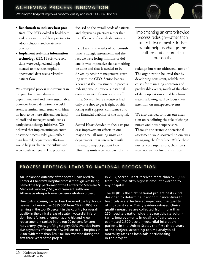- **Benchmark to industry best practices**. The PATs looked at healthcare and other industries' best practices to adopt solutions and create new practices.
- **Implement real-time information technology (IT)**. IT software solutions were designed and implemented to meet the hospital's operational data needs related to patient flow.

We attempted process improvement in the past, but it was always at the department level and never sustainable. Someone from a department would attend a seminar and return with ideas on how to be more efficient, but hospital staff and managers would consistently defeat change initiatives. We believed that implementing an enterprisewide process redesign—rather than limited, department efforts would help us change the culture and accomplish our goals. The processes

focused on the overall needs of patients and physicians' practices rather than the efficiency of a single department.

Faced with the results of out consultants' strategic assessment, and the fact we were losing millions of dollars, it was imperative that something be done and that it needed to be driven by senior management, starting with the CEO. Senior leaders knew that the investment in process redesign would involve substantial commitments of money and staff time. Sacred Heart executives had only one shot to get it right or risk losing staff support, confidence and the financial viability of the hospital.

Sacred Heart decided to focus its process improvement efforts in one major area: all nursing units and departments that interacted with nursing to impact patient flow. (Birthing units were not part of this

Implementing an enterprisewide process redesign—rather than limited, department efforts would help us change the culture and accomplish our goals.

redesign but were addressed later on.) The organization believed that by developing consistent, reliable processes for managing common and predictable events, much of the chaos of daily operations could be eliminated, allowing staff to focus their attention on unexpected events.

We also decided to focus our attention on redefining the role of charge nurses and house supervisors. Through the strategic operational assessment, we discovered no one was managing the front line. While these nurses were supervisors, their roles were not well defined, thus they

#### PROCESS REDESIGN LEADS TO NATIONAL RECOGNITION

An unplanned outcome of the Sacred Heart Medical Center & Children's Hospital process redesign was being named the top performer of the Centers for Medicare & Medicaid Services (CMS) and Premier Healthcare Alliance pay-for-performance demonstration project.

Due to its successes, Sacred Heart received the top bonus payment of more than \$385,000 from CMS in 2008 for ranking in the top 10 percent in the country for overall quality in the clinical areas of acute myocardial infarction, heart failure, pneumonia, and hip and knee replacement. It ranked in the top 20 percent for coronary artery bypass grafting surgery. CMS awarded incentive payments of more than \$7 million to 112 hospitals in 2008, with more than \$24.5 million awarded during the first three years of the project.

In 2007, Sacred Heart received more than \$256,000 from CMS, the fifth highest amount awarded to any hospital.

The HQID is the first national project of its kind, designed to determine if economic incentives to hospitals are effective at improving the quality of inpatient care. Thirty evidence-based clinical quality measures are collected from more than 250 hospitals nationwide that participate voluntarily. Improvements in quality of care saved an estimated 2,500 acute myocardial infarction patients in the United States the first three years of the project, according to CMS analysis of mortality rates at hospitals participating in the project.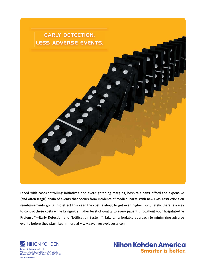

Faced with cost-controlling initiatives and ever-tightening margins, hospitals can't afford the expensive (and often tragic) chain of events that occurs from incidents of medical harm. With new CMS restrictions on reimbursements going into effect this year, the cost is about to get even higher. Fortunately, there is a way to control these costs while bringing a higher level of quality to every patient throughout your hospital-the Prefense<sup>™</sup> - Early Detection and Notification System<sup>™</sup>. Take an affordable approach to minimizing adverse events before they start. Learn more at www.savelivesavoidcosts.com.



90 Icon Street, Foothill Ranch, CA 92610 Phone: 800.325.0283 Fax: 949.580.1550

www.nkusa.com

# **Nihon Kohden America Smarter is better.**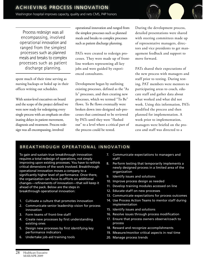Process redesign was all encompassing, involved operational innovation and ranged from the simplest processes such as planned meals and breaks to complex processes such as patient discharge planning.

spent much of their time serving as nursing backups or holed up in their offices writing out schedules.

With senior-level executives on board and the scope of the project defined we were now ready for redesigning every single process with an emphasis on eliminating delays in patient movement, diagnosis and treatment. Process redesign was all encompassing, involved

operational innovation and ranged from the simplest processes such as planned meals and breaks to complex processes such as patient discharge planning.

PATs were created to redesign processes. They were made up of frontline workers representing all key jobs and were guided by experienced consultants.

Development began by outlining existing processes, defined as the "As Is" processes, and then creating new processes, which we termed "To Be" flows. To Be flows eventually were broken down into designed sub-processes that continued to be reviewed by PATs until they were "flushed out" to a level where a critical part of the process could be tested.

During the development process, detailed presentations were shared with steering committees made up of representative managers, directors and vice presidents to get management feedback and support to move forward.

PATs shared their expectations of the new process with managers and staff prior to testing. During testing, PAT members were mentors to participating areas to coach, educate staff and gather data about what worked and what did not work. Using this information, PATs modified the process and then planned for implementation. A week prior to implementation, managers were briefed on the process and staff was directed to a

### BREAKTHROUGH OPERATIONAL INNOVATION

To gain and sustain true breakthrough innovation requires a total redesign of operations, not simply improving upon existing processes. You have to rethink critical dimensions of the work involved. Breakthrough operational innovation moves a company to a significantly higher level of performance. Once there, the organization can focus its efforts on additional changes—refinements of innovation—that will keep it ahead of the pack. Below are the steps in breakthrough operational innovation:

- 1. Cultivate a culture that promotes innovation
- 2. Communicate senior leadership vision for process innovation
- 3. Form teams of front-line staff
- 4. Create new processes by first understanding existing ones
- 5. Design new processes by first identifying key performance indicators
- 6. Undertake job-aid training tools
- 7. Communicate expectations to managers and staff
- 8. Perform testing that temporarily implements a newly designed process in a limited area of the organization
- 9. Identify issues and solutions
- 10. Improve process design as needed
- 11. Develop training modules accessed on line
- 12. Educate staff on new processes
- 13. Communicate expectations for process outcomes
- 14. Use Process Action Teams to mentor staff during implementation
- 15. Identify issues and solutions
- 16. Resolve issues through process modification
- 17. Ensure that process owners observe/coach to process
- 18. Reward and recognize accomplishments
- 19. Measure/monitor critical aspects in real time
- 20. Manage process trends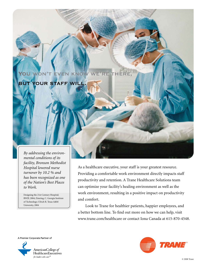#### WE'RE THERE, YOU WON'T EVEN KNOW

## **BUT YOUR STAFF WILL**

 *By addressing the environmental conditions of its facility, Bronson Methodist Hospital lowered nurse turnover by 10.2 % and has been recognized as one of the Nation's Best Places to Work.*

Designing the 21st Century Hospital; RWJF, 2004; Zimring, C. Georgia Institute of Technology; Ulrich R. Texas A&M University, 2004

 As a healthcare executive, your staff is your greatest resource. Providing a comfortable work environment directly impacts staff productivity and retention. A Trane Healthcare Solutions team can optimize your facility's healing environment as well as the work environment, resulting in a positive impact on productivity and comfort.

 Look to Trane for healthier patients, happier employees, and a better bottom line. To find out more on how we can help, visit www.trane.com/healthcare or contact Iona Canada at 615-870-4548.

A Premier Corporate Partner of



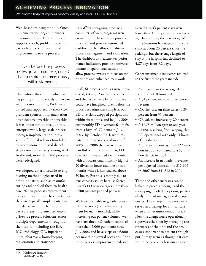Web-based training module. Once implementation began, mentors positioned themselves on units to support, coach, problem solve and gather feedback for additional improvements to the process.

Even before the process redesign was complete, our ED diversions dropped precipitously within six months.

Throughout these steps, which were happening simultaneously for five to six processes at a time, PATs were visited and supported by their vice president sponsor. Implementation often occurred weekly or biweekly. It was important to break up this enterprisewide, large-scale process redesign implementation into a series of limited releases (modules) to create momentum and dispel skepticism and anxiety among staff. In the end, more than 200 processes were redesigned.

We adopted enterprisewide re-engineering methodologies used in other industries such as manufacturing and applied them to healthcare. When process improvement tools are used in healthcare settings they are typically implemented in one department of the hospital. Sacred Heart implemented enterprisewide process solutions across multiple departments throughout the hospital including the ED, ICU, radiology, OR, inpatient units, pharmacy, housekeeping, registration and transport.

As staff was designing processes, computer software programs were created or purchased to support the processes and provide automated dashboards that allowed real-time process management and evaluation. The dashboards measure key performance indicators, provide a universal picture of operational status and allow process owners to focus on top priorities and enhanced teamwork.

In all, 61 process modules were introduced, taking 52 weeks to complete, and the results were better than we could have imagined. Even before the process redesign was complete, our ED diversions dropped precipitously within six months, and by July 2004 our monthly ED diversions fell to 60 from a high of 172 hours in July 2003. By October 2004, we eliminated ED diversions, and in all of 2005 and 2006 there were only a handful of hours. Since then, ED diversions have varied each month, with an occassional monthly high of 20 diversion hours and one or two months where it has reached above 50 hours. But this is mainly due to true capacity issues because Sacred Heart's ED now averages more than 2,500 patients per bed per year.

We have been able to greatly reduce ED diversions (even eliminating them for many months), while increasing our patient volumes. We have sustained ED patient counts of more than 5,000 per month since July 2006 and have surpassed 6,000 per month on several occasions. Prior to the process improvement redesign

Sacred Heart's patient visits were fewer than 4,000 per month on average. In addition, the percentage of ED admissions has stayed fairly constant at about 20 percent since the redesign, but the average length of stay at the hospital has declined to 4.87 days from 5.2 days.

Other sustainable indicators realized in the first three years include:

- An increase in the average daily census to 410 from 364
- A 34 percent increase in net patient revenue
- OR first case on-time starts to 83 percent from 35 percent
- OR volume increase by 20 percent
- A \$7.75 million gain in one year (2005), resulting from keeping the ED operational with only 24 hours of ED diversion
- A total net income gain of \$22 million in 2005 compared to a \$3 million deficit in 2004
- An increase in net patient revenue per adjusted admission to \$12,909 in 2007 from \$11,312 in 2004

These and other successes can be linked to process redesign and the revamping of job descriptions, particularly those of managers and charge nurses. The charge nurse previously served as a backup for clinical care when another nurse went on break. Now the charge nurse operationally supervises the floor by managing the resources of the unit and the processes important to patient throughput. It may seem as though patients would be receiving less nursing care,